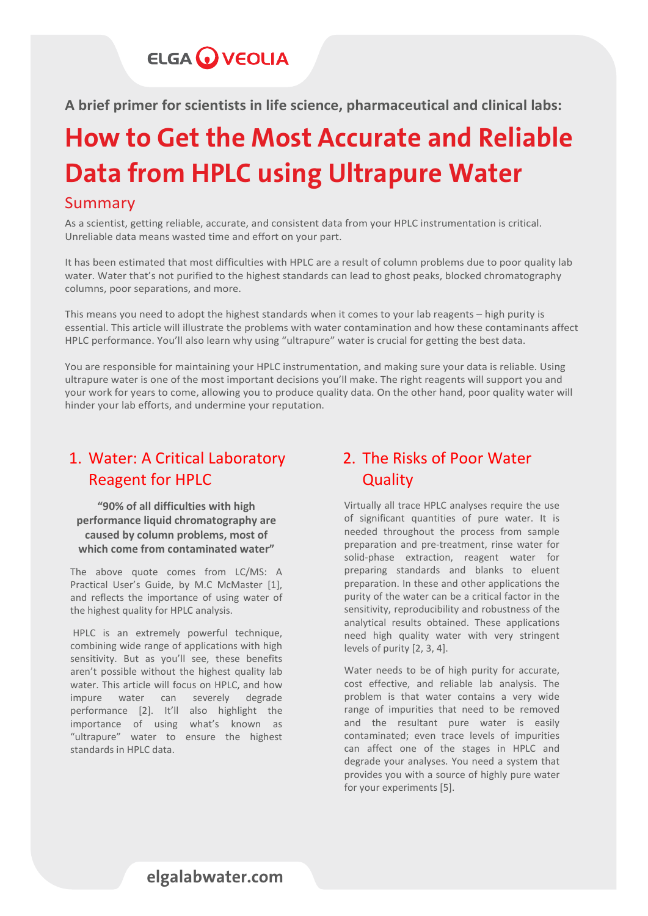## **ELGA WEOLIA**

**A brief primer for scientists in life science, pharmaceutical and clinical labs:**

# How to Get the Most Accurate and Reliable Data from HPLC using Ultrapure Water

#### Summary

As a scientist, getting reliable, accurate, and consistent data from your HPLC instrumentation is critical. Unreliable data means wasted time and effort on your part.

It has been estimated that most difficulties with HPLC are a result of column problems due to poor quality lab water. Water that's not purified to the highest standards can lead to ghost peaks, blocked chromatography columns, poor separations, and more.

This means you need to adopt the highest standards when it comes to your lab reagents – high purity is essential. This article will illustrate the problems with water contamination and how these contaminants affect HPLC performance. You'll also learn why using "ultrapure" water is crucial for getting the best data.

You are responsible for maintaining your HPLC instrumentation, and making sure your data is reliable. Using ultrapure water is one of the most important decisions you'll make. The right reagents will support you and your work for years to come, allowing you to produce quality data. On the other hand, poor quality water will hinder your lab efforts, and undermine your reputation.

### 1. Water: A Critical Laboratory Reagent for HPLC

 **which come from contaminated water" "90% of all difficulties with high performance liquid chromatography are caused by column problems, most of** 

The above quote comes from LC/MS: A Practical User's Guide, by M.C McMaster [1], and reflects the importance of using water of the highest quality for HPLC analysis.

HPLC is an extremely powerful technique, combining wide range of applications with high sensitivity. But as you'll see, these benefits aren't possible without the highest quality lab water. This article will focus on HPLC, and how impure water can severely degrade performance [2]. It'll also highlight the importance of using what's known as "ultrapure" water to ensure the highest standards in HPLC data.

### 2. The Risks of Poor Water **Quality**

Virtually all trace HPLC analyses require the use of significant quantities of pure water. It is needed throughout the process from sample preparation and pre-treatment, rinse water for solid-phase extraction, reagent water for preparing standards and blanks to eluent preparation. In these and other applications the purity of the water can be a critical factor in the sensitivity, reproducibility and robustness of the analytical results obtained. These applications need high quality water with very stringent levels of purity [2, 3, 4].

Water needs to be of high purity for accurate, cost effective, and reliable lab analysis. The problem is that water contains a very wide range of impurities that need to be removed and the resultant pure water is easily contaminated; even trace levels of impurities can affect one of the stages in HPLC and degrade your analyses. You need a system that provides you with a source of highly pure water for your experiments [5].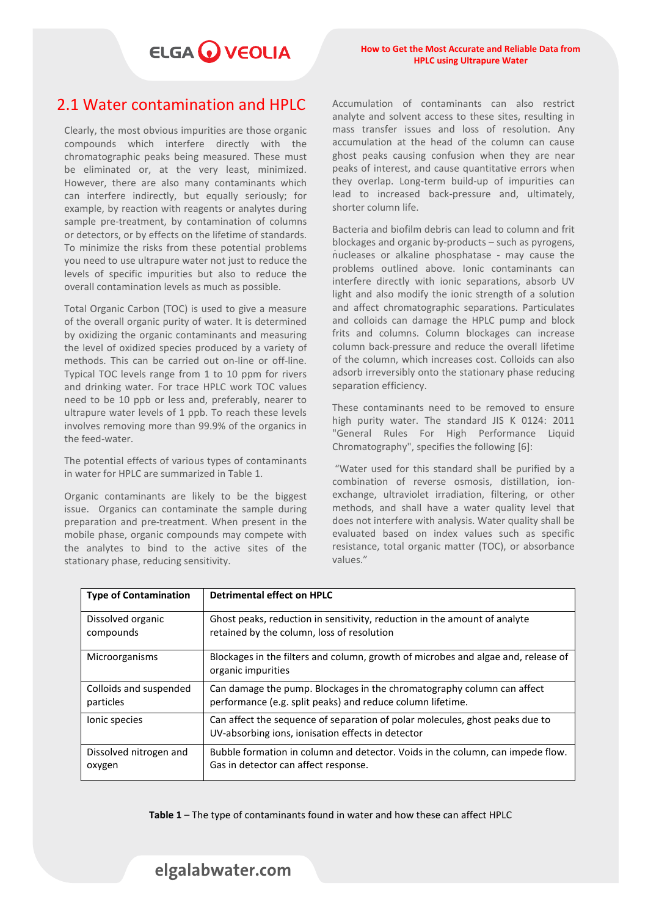## ELGA VEOLIA

#### 2.1 Water contamination and HPLC

Clearly, the most obvious impurities are those organic compounds which interfere directly with the chromatographic peaks being measured. These must be eliminated or, at the very least, minimized. However, there are also many contaminants which can interfere indirectly, but equally seriously; for example, by reaction with reagents or analytes during sample pre-treatment, by contamination of columns or detectors, or by effects on the lifetime of standards. To minimize the risks from these potential problems you need to use ultrapure water not just to reduce the levels of specific impurities but also to reduce the overall contamination levels as much as possible.

Total Organic Carbon (TOC) is used to give a measure of the overall organic purity of water. It is determined by oxidizing the organic contaminants and measuring the level of oxidized species produced by a variety of methods. This can be carried out on-line or off-line. Typical TOC levels range from 1 to 10 ppm for rivers and drinking water. For trace HPLC work TOC values need to be 10 ppb or less and, preferably, nearer to ultrapure water levels of 1 ppb. To reach these levels involves removing more than 99.9% of the organics in the feed-water.

The potential effects of various types of contaminants in water for HPLC are summarized in Table 1.

Organic contaminants are likely to be the biggest issue. Organics can contaminate the sample during preparation and pre-treatment. When present in the mobile phase, organic compounds may compete with the analytes to bind to the active sites of the stationary phase, reducing sensitivity.

Accumulation of contaminants can also restrict analyte and solvent access to these sites, resulting in mass transfer issues and loss of resolution. Any accumulation at the head of the column can cause ghost peaks causing confusion when they are near peaks of interest, and cause quantitative errors when they overlap. Long-term build-up of impurities can lead to increased back-pressure and, ultimately, shorter column life.

. nucleases or alkaline phosphatase - may cause the Bacteria and biofilm debris can lead to column and frit blockages and organic by-products – such as pyrogens, problems outlined above. Ionic contaminants can interfere directly with ionic separations, absorb UV light and also modify the ionic strength of a solution and affect chromatographic separations. Particulates and colloids can damage the HPLC pump and block frits and columns. Column blockages can increase column back-pressure and reduce the overall lifetime of the column, which increases cost. Colloids can also adsorb irreversibly onto the stationary phase reducing separation efficiency.

These contaminants need to be removed to ensure high purity water. The standard JIS K 0124: 2011 "General Rules For High Performance Liquid Chromatography", specifies the following [6]:

"Water used for this standard shall be purified by a combination of reverse osmosis, distillation, ionexchange, ultraviolet irradiation, filtering, or other methods, and shall have a water quality level that does not interfere with analysis. Water quality shall be evaluated based on index values such as specific resistance, total organic matter (TOC), or absorbance values."

| <b>Type of Contamination</b> | Detrimental effect on HPLC                                                                                                        |
|------------------------------|-----------------------------------------------------------------------------------------------------------------------------------|
| Dissolved organic            | Ghost peaks, reduction in sensitivity, reduction in the amount of analyte                                                         |
| compounds                    | retained by the column, loss of resolution                                                                                        |
| Microorganisms               | Blockages in the filters and column, growth of microbes and algae and, release of<br>organic impurities                           |
| Colloids and suspended       | Can damage the pump. Blockages in the chromatography column can affect                                                            |
| particles                    | performance (e.g. split peaks) and reduce column lifetime.                                                                        |
| lonic species                | Can affect the sequence of separation of polar molecules, ghost peaks due to<br>UV-absorbing ions, ionisation effects in detector |
| Dissolved nitrogen and       | Bubble formation in column and detector. Voids in the column, can impede flow.                                                    |
| oxygen                       | Gas in detector can affect response.                                                                                              |

**Table 1** – The type of contaminants found in water and how these can affect HPLC

#### [elgalabwater.com](https://www.elgalabwater.com/products.)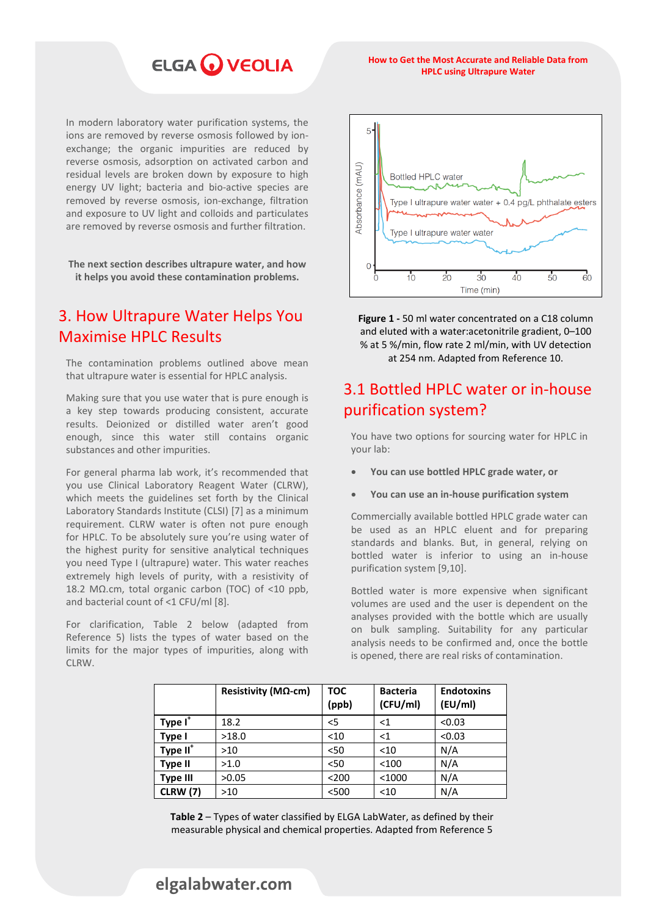## **ELGA WEOLIA**

#### **How to Get the Most Accurate and Reliable Data from HPLC using Ultrapure Water**

In modern laboratory water purification systems, the ions are removed by reverse osmosis followed by ionexchange; the organic impurities are reduced by reverse osmosis, adsorption on activated carbon and residual levels are broken down by exposure to high energy UV light; bacteria and bio-active species are removed by reverse osmosis, ion-exchange, filtration and exposure to UV light and colloids and particulates are removed by reverse osmosis and further filtration.

**The next section describes ultrapure water, and how it helps you avoid these contamination problems.**

#### 3. How Ultrapure Water Helps You Maximise HPLC Results

The contamination problems outlined above mean that ultrapure water is essential for HPLC analysis.

Making sure that you use water that is pure enough is a key step towards producing consistent, accurate results. Deionized or distilled water aren't good enough, since this water still contains organic substances and other impurities.

For general pharma lab work, it's recommended that you use Clinical Laboratory Reagent Water (CLRW), which meets the guidelines set forth by the Clinical Laboratory Standards Institute (CLSI) [7] as a minimum requirement. CLRW water is often not pure enough for HPLC. To be absolutely sure you're using water of the highest purity for sensitive analytical techniques you need Type I (ultrapure) water. This water reaches extremely high levels of purity, with a resistivity of 18.2 MΩ.cm, total organic carbon (TOC) of <10 ppb, and bacterial count of <1 CFU/ml [8].

For clarification, Table 2 below (adapted from Reference 5) lists the types of water based on the limits for the major types of impurities, along with CLRW.



**Figure 1 -** 50 ml water concentrated on a C18 column and eluted with a water:acetonitrile gradient, 0–100 % at 5 %/min, flow rate 2 ml/min, with UV detection at 254 nm. Adapted from Reference 10.

### 3.1 Bottled HPLC water or in-house purification system?

You have two options for sourcing water for HPLC in your lab:

- **You can use bottled HPLC grade water, or**
- **You can use an in-house purification system**

Commercially available bottled HPLC grade water can be used as an HPLC eluent and for preparing standards and blanks. But, in general, relying on bottled water is inferior to using an in-house purification system [9,10].

Bottled water is more expensive when significant volumes are used and the user is dependent on the analyses provided with the bottle which are usually on bulk sampling. Suitability for any particular analysis needs to be confirmed and, once the bottle is opened, there are real risks of contamination.

|                      | Resistivity (MΩ-cm) | TOC<br>(ppb) | <b>Bacteria</b><br>(CFU/ml) | <b>Endotoxins</b><br>(EU/ml) |
|----------------------|---------------------|--------------|-----------------------------|------------------------------|
| Type I <sup>+</sup>  | 18.2                | $<$ 5        | ${<}1$                      | < 0.03                       |
| Type I               | >18.0               | $<$ 10       | <1                          | < 0.03                       |
| Type II <sup>+</sup> | >10                 | $50$         | $<$ 10                      | N/A                          |
| <b>Type II</b>       | >1.0                | $50$         | < 100                       | N/A                          |
| <b>Type III</b>      | >0.05               | < 200        | $<$ 1000                    | N/A                          |
| <b>CLRW</b> (7)      | >10                 | < 500        | $<$ 10                      | N/A                          |

**Table 2** – Types of water classified by ELGA LabWater, as defined by their measurable physical and chemical properties. Adapted from Reference 5

#### [elgalabwater.com](https://www.elgalabwater.com/products.)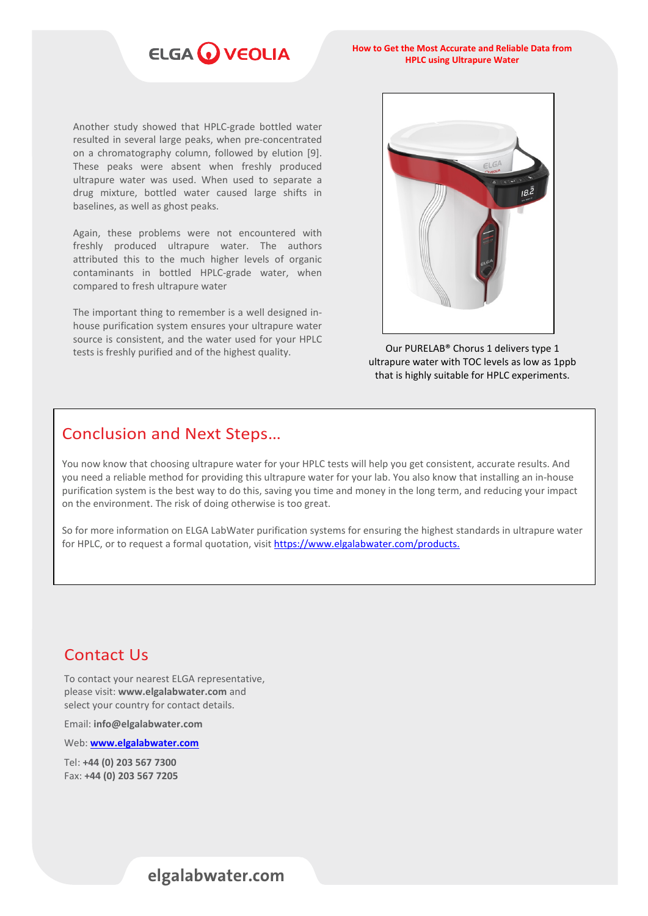## ELGA VEOLIA

**How to Get the Most Accurate and Reliable Data from HPLC using Ultrapure Water**

Another study showed that HPLC-grade bottled water resulted in several large peaks, when pre-concentrated on a chromatography column, followed by elution [9]. These peaks were absent when freshly produced ultrapure water was used. When used to separate a drug mixture, bottled water caused large shifts in baselines, as well as ghost peaks.

Again, these problems were not encountered with freshly produced ultrapure water. The authors attributed this to the much higher levels of organic contaminants in bottled HPLC-grade water, when compared to fresh ultrapure water

The important thing to remember is a well designed inhouse purification system ensures your ultrapure water source is consistent, and the water used for your HPLC tests is freshly purified and of the highest quality. **Our PURELAB<sup>®</sup> Chorus 1 delivers type 1** 



ultrapure water with TOC levels as low as 1ppb that is highly suitable for HPLC experiments.

#### Conclusion and Next Steps…

You now know that choosing ultrapure water for your HPLC tests will help you get consistent, accurate results. And you need a reliable method for providing this ultrapure water for your lab. You also know that installing an in-house purification system is the best way to do this, saving you time and money in the long term, and reducing your impact on the environment. The risk of doing otherwise is too great.

So for more information on ELGA LabWater purification systems for ensuring the highest standards in ultrapure water for HPLC, or to request a formal quotation, visit<https://www.elgalabwater.com/products.>

#### Contact Us

To contact your nearest ELGA representative, please visit: **[www.elgalabwater.com](http://www.elgalabwater.com/)** and select your country for contact details.

Email: **[info@elgalabwater.com](mailto:info@elgalabwater.com)**

Web: **[www.elgalabwater.com](http://www.elgalabwater.com/)**

 Tel: **+44 (0) 203 567 7300** Fax: **+44 (0) 203 567 7205**

#### [elgalabwater.com](https://www.elgalabwater.com/products.)